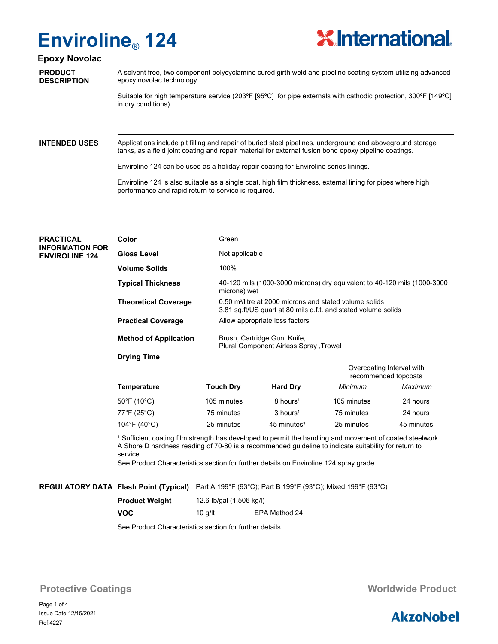## **Enviroline**® **124**



### **Epoxy Novolac**

**PRODUCT DESCRIPTION** A solvent free, two component polycyclamine cured girth weld and pipeline coating system utilizing advanced epoxy novolac technology.

Suitable for high temperature service (203ºF [95ºC] for pipe externals with cathodic protection, 300ºF [149ºC] in dry conditions).

**INTENDED USES**

Applications include pit filling and repair of buried steel pipelines, underground and aboveground storage tanks, as a field joint coating and repair material for external fusion bond epoxy pipeline coatings.

Enviroline 124 can be used as a holiday repair coating for Enviroline series linings.

Enviroline 124 is also suitable as a single coat, high film thickness, external lining for pipes where high performance and rapid return to service is required.

| <b>PRACTICAL</b><br><b>INFORMATION FOR</b><br><b>ENVIROLINE 124</b> | Color                        | Green                                                                                                                                 |
|---------------------------------------------------------------------|------------------------------|---------------------------------------------------------------------------------------------------------------------------------------|
|                                                                     | <b>Gloss Level</b>           | Not applicable                                                                                                                        |
|                                                                     | <b>Volume Solids</b>         | 100%                                                                                                                                  |
|                                                                     | <b>Typical Thickness</b>     | 40-120 mils (1000-3000 microns) dry equivalent to 40-120 mils (1000-3000<br>microns) wet                                              |
|                                                                     | <b>Theoretical Coverage</b>  | 0.50 m <sup>2</sup> /litre at 2000 microns and stated volume solids<br>3.81 sq.ft/US quart at 80 mils d.f.t. and stated volume solids |
|                                                                     | <b>Practical Coverage</b>    | Allow appropriate loss factors                                                                                                        |
|                                                                     | <b>Method of Application</b> | Brush, Cartridge Gun, Knife,<br><b>Plural Component Airless Spray Trowel</b>                                                          |
|                                                                     | <b>Drying Time</b>           |                                                                                                                                       |

| Temperature                      |                  |                         | Overcoating Interval with<br>recommended topcoats |            |
|----------------------------------|------------------|-------------------------|---------------------------------------------------|------------|
|                                  | <b>Touch Dry</b> | <b>Hard Dry</b>         | Minimum                                           | Maximum    |
| $50^{\circ}$ F (10 $^{\circ}$ C) | 105 minutes      | 8 hours <sup>1</sup>    | 105 minutes                                       | 24 hours   |
| 77°F (25°C)                      | 75 minutes       | 3 hours <sup>1</sup>    | 75 minutes                                        | 24 hours   |
| 104°F (40°C)                     | 25 minutes       | 45 minutes <sup>1</sup> | 25 minutes                                        | 45 minutes |

<sup>1</sup> Sufficient coating film strength has developed to permit the handling and movement of coated steelwork. A Shore D hardness reading of 70-80 is a recommended guideline to indicate suitability for return to service.

See Product Characteristics section for further details on Enviroline 124 spray grade

### **REGULATORY DATA Flash Point (Typical)** Part A 199°F (93°C); Part B 199°F (93°C); Mixed 199°F (93°C)

| <b>Product Weight</b> | 12.6 lb/gal (1.506 kg/l) |               |  |
|-----------------------|--------------------------|---------------|--|
| <b>VOC</b>            | 10 g/lt                  | EPA Method 24 |  |

See Product Characteristics section for further details

**Protective Coatings Music Coatings** *Worldwide Product* 

Page 1 of 4 Ref:4227 Issue Date:12/15/2021

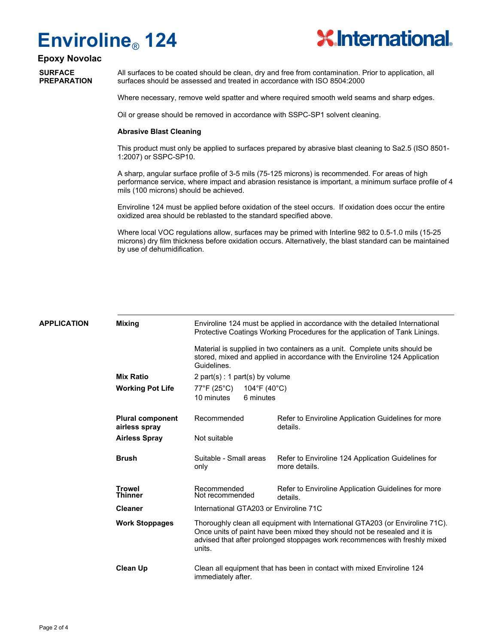# **Enviroline**® **124**



## **Epoxy Novolac**

**SURFACE PREPARATION** All surfaces to be coated should be clean, dry and free from contamination. Prior to application, all surfaces should be assessed and treated in accordance with ISO 8504:2000

Where necessary, remove weld spatter and where required smooth weld seams and sharp edges.

Oil or grease should be removed in accordance with SSPC-SP1 solvent cleaning.

#### **Abrasive Blast Cleaning**

This product must only be applied to surfaces prepared by abrasive blast cleaning to Sa2.5 (ISO 8501- 1:2007) or SSPC-SP10.

A sharp, angular surface profile of 3-5 mils (75-125 microns) is recommended. For areas of high performance service, where impact and abrasion resistance is important, a minimum surface profile of 4 mils (100 microns) should be achieved.

Enviroline 124 must be applied before oxidation of the steel occurs. If oxidation does occur the entire oxidized area should be reblasted to the standard specified above.

Where local VOC regulations allow, surfaces may be primed with Interline 982 to 0.5-1.0 mils (15-25 microns) dry film thickness before oxidation occurs. Alternatively, the blast standard can be maintained by use of dehumidification.

| APPLICATION | <b>Mixing</b>                            | Enviroline 124 must be applied in accordance with the detailed International<br>Protective Coatings Working Procedures for the application of Tank Linings.                                                                                        |                                                                        |  |
|-------------|------------------------------------------|----------------------------------------------------------------------------------------------------------------------------------------------------------------------------------------------------------------------------------------------------|------------------------------------------------------------------------|--|
|             |                                          | Material is supplied in two containers as a unit. Complete units should be<br>stored, mixed and applied in accordance with the Enviroline 124 Application<br>Guidelines.                                                                           |                                                                        |  |
|             | <b>Mix Ratio</b>                         | 2 part(s) : 1 part(s) by volume                                                                                                                                                                                                                    |                                                                        |  |
|             | <b>Working Pot Life</b>                  | $77^{\circ}$ F (25 $^{\circ}$ C)<br>104°F (40°C)                                                                                                                                                                                                   |                                                                        |  |
|             |                                          | 10 minutes<br>6 minutes                                                                                                                                                                                                                            |                                                                        |  |
|             | <b>Plural component</b><br>airless spray | Recommended                                                                                                                                                                                                                                        | Refer to Enviroline Application Guidelines for more<br>details.        |  |
|             | <b>Airless Spray</b>                     | Not suitable                                                                                                                                                                                                                                       |                                                                        |  |
|             | <b>Brush</b>                             | Suitable - Small areas<br>only                                                                                                                                                                                                                     | Refer to Enviroline 124 Application Guidelines for<br>more details.    |  |
|             | <b>Trowel</b><br><b>Thinner</b>          | Recommended<br>Not recommended                                                                                                                                                                                                                     | Refer to Enviroline Application Guidelines for more<br>details.        |  |
|             | <b>Cleaner</b>                           | International GTA203 or Enviroline 71C                                                                                                                                                                                                             |                                                                        |  |
|             | <b>Work Stoppages</b>                    | Thoroughly clean all equipment with International GTA203 (or Enviroline 71C).<br>Once units of paint have been mixed they should not be resealed and it is<br>advised that after prolonged stoppages work recommences with freshly mixed<br>units. |                                                                        |  |
|             | <b>Clean Up</b>                          | immediately after.                                                                                                                                                                                                                                 | Clean all equipment that has been in contact with mixed Enviroline 124 |  |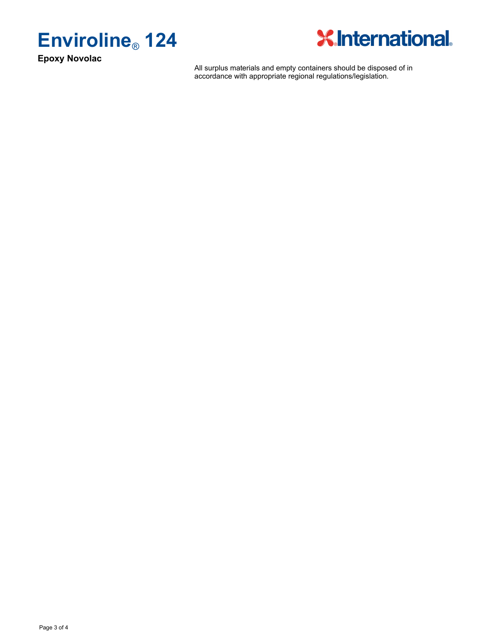

**Epoxy Novolac**



All surplus materials and empty containers should be disposed of in accordance with appropriate regional regulations/legislation.